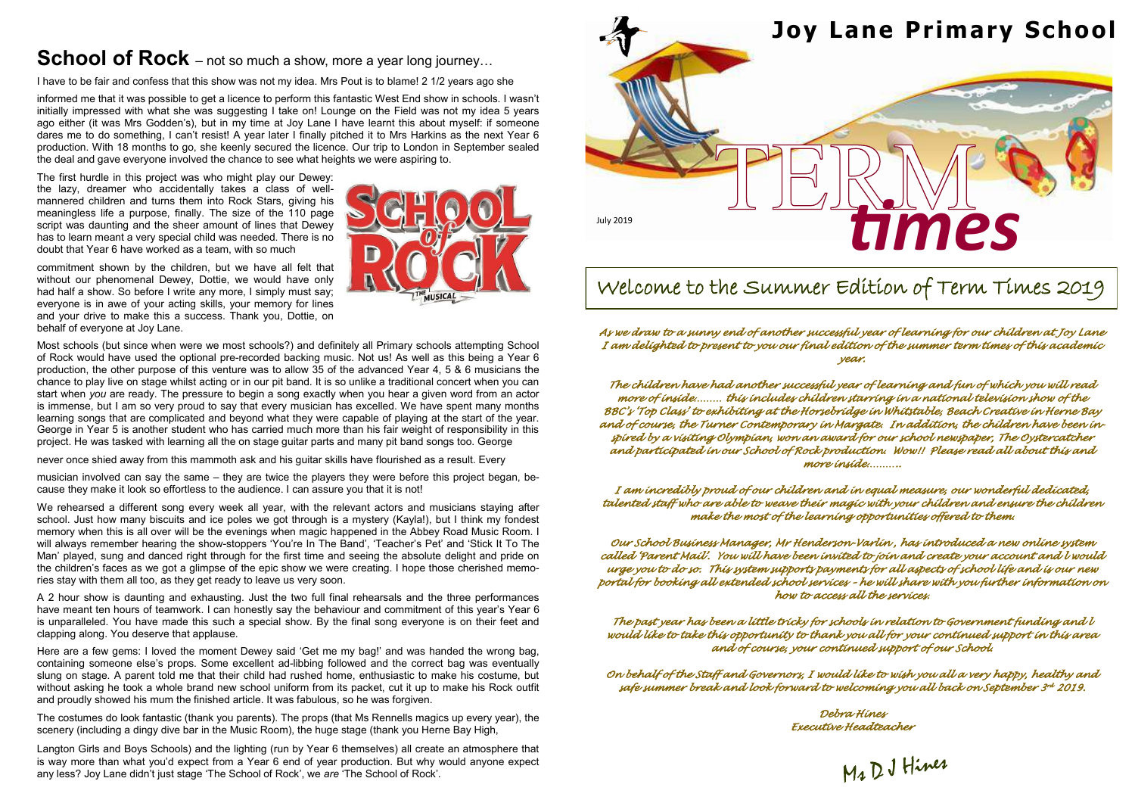

*As we draw to a sunny end of another successful year of learning for our children at Joy Lane I am delighted to present to you our final edition of the summer term times of this academic year.* 

*The children have had another successful year of learning and fun of which you will read more of inside……… this includes children starring in a national television show of the BBC's 'Top Class' to exhibiting at the Horsebridge in Whitstable, Beach Creative in Herne Bay and of course, the Turner Contemporary in Margate. In addition, the children have been inspired by a visiting Olympian, won an award for our school newspaper, The Oystercatcher and participated in our School of Rock production. Wow!! Please read all about this and more inside………..* 

*I am incredibly proud of our children and in equal measure, our wonderful dedicated, talented staff who are able to weave their magic with your children and ensure the children make the most of the learning opportunities offered to them.* 

*Our School Business Manager, Mr Henderson-Varlin , has introduced a new online system called 'Parent Mail'. You will have been invited to join and create your account and l would urge you to do so. This system supports payments for all aspects of school life and is our new portal for booking all extended school services – he will share with you further information on how to access all the services.* 

*The past year has been a little tricky for schools in relation to Government funding and l would like to take this opportunity to thank you all for your continued support in this area and of course, your continued support of our School.* 

*On behalf of the Staff and Governors, I would like to wish you all a very happy, healthy and safe summer break and look forward to welcoming you all back on September 3 rd 2019.* 

> *Debra Hines Executive Headteacher*

Mr DJ Hines

# Welcome to the Summer Edition of Term Times 2019

## **School of Rock** – not so much a show, more a year long journey...

I have to be fair and confess that this show was not my idea. Mrs Pout is to blame! 2 1/2 years ago she

informed me that it was possible to get a licence to perform this fantastic West End show in schools. I wasn't initially impressed with what she was suggesting I take on! Lounge on the Field was not my idea 5 years ago either (it was Mrs Godden's), but in my time at Joy Lane I have learnt this about myself: if someone dares me to do something, I can't resist! A year later I finally pitched it to Mrs Harkins as the next Year 6 production. With 18 months to go, she keenly secured the licence. Our trip to London in September sealed the deal and gave everyone involved the chance to see what heights we were aspiring to.

We rehearsed a different song every week all year, with the relevant actors and musicians staying after school. Just how many biscuits and ice poles we got through is a mystery (Kayla!), but I think my fondest memory when this is all over will be the evenings when magic happened in the Abbey Road Music Room. I will always remember hearing the show-stoppers 'You're In The Band', 'Teacher's Pet' and 'Stick It To The Man' played, sung and danced right through for the first time and seeing the absolute delight and pride on the children's faces as we got a glimpse of the epic show we were creating. I hope those cherished memories stay with them all too, as they get ready to leave us very soon.

The first hurdle in this project was who might play our Dewey: the lazy, dreamer who accidentally takes a class of wellmannered children and turns them into Rock Stars, giving his meaningless life a purpose, finally. The size of the 110 page script was daunting and the sheer amount of lines that Dewey has to learn meant a very special child was needed. There is no doubt that Year 6 have worked as a team, with so much

commitment shown by the children, but we have all felt that without our phenomenal Dewey, Dottie, we would have only had half a show. So before I write any more, I simply must say; everyone is in awe of your acting skills, your memory for lines and your drive to make this a success. Thank you, Dottie, on behalf of everyone at Joy Lane.



Most schools (but since when were we most schools?) and definitely all Primary schools attempting School of Rock would have used the optional pre-recorded backing music. Not us! As well as this being a Year 6 production, the other purpose of this venture was to allow 35 of the advanced Year 4, 5 & 6 musicians the chance to play live on stage whilst acting or in our pit band. It is so unlike a traditional concert when you can start when *you* are ready. The pressure to begin a song exactly when you hear a given word from an actor is immense, but I am so very proud to say that every musician has excelled. We have spent many months learning songs that are complicated and beyond what they were capable of playing at the start of the year. George in Year 5 is another student who has carried much more than his fair weight of responsibility in this project. He was tasked with learning all the on stage guitar parts and many pit band songs too. George

never once shied away from this mammoth ask and his guitar skills have flourished as a result. Every

musician involved can say the same – they are twice the players they were before this project began, because they make it look so effortless to the audience. I can assure you that it is not!

A 2 hour show is daunting and exhausting. Just the two full final rehearsals and the three performances have meant ten hours of teamwork. I can honestly say the behaviour and commitment of this year's Year 6 is unparalleled. You have made this such a special show. By the final song everyone is on their feet and clapping along. You deserve that applause.

Here are a few gems: I loved the moment Dewey said 'Get me my bag!' and was handed the wrong bag, containing someone else's props. Some excellent ad-libbing followed and the correct bag was eventually slung on stage. A parent told me that their child had rushed home, enthusiastic to make his costume, but without asking he took a whole brand new school uniform from its packet, cut it up to make his Rock outfit and proudly showed his mum the finished article. It was fabulous, so he was forgiven.

The costumes do look fantastic (thank you parents). The props (that Ms Rennells magics up every year), the scenery (including a dingy dive bar in the Music Room), the huge stage (thank you Herne Bay High,

Langton Girls and Boys Schools) and the lighting (run by Year 6 themselves) all create an atmosphere that is way more than what you'd expect from a Year 6 end of year production. But why would anyone expect any less? Joy Lane didn't just stage 'The School of Rock', we *are* 'The School of Rock'.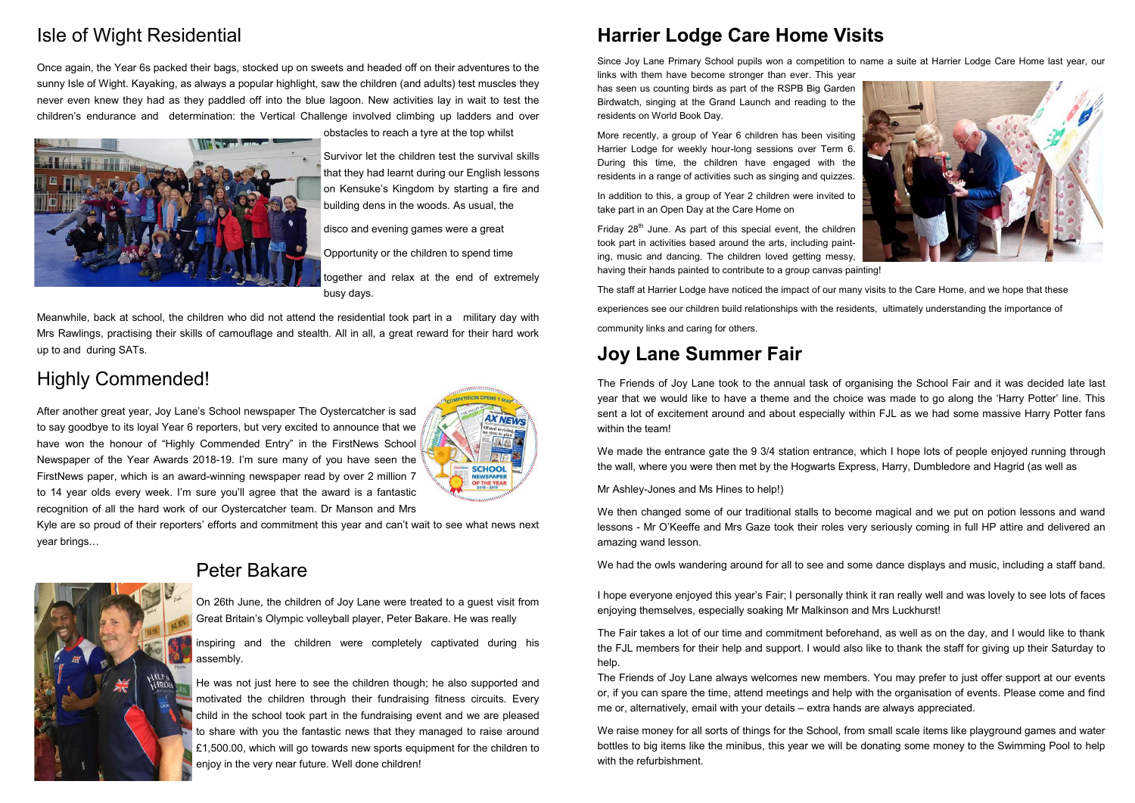## **Harrier Lodge Care Home Visits**

Since Joy Lane Primary School pupils won a competition to name a suite at Harrier Lodge Care Home last year, our links with them have become stronger than ever. This year has seen us counting birds as part of the RSPB Big Garden Birdwatch, singing at the Grand Launch and reading to the residents on World Book Day.

More recently, a group of Year 6 children has been visiting Harrier Lodge for weekly hour-long sessions over Term 6. During this time, the children have engaged with the residents in a range of activities such as singing and quizzes.

Friday  $28<sup>th</sup>$  June. As part of this special event, the children took part in activities based around the arts, including painting, music and dancing. The children loved getting messy, having their hands painted to contribute to a group canvas painting!

In addition to this, a group of Year 2 children were invited to take part in an Open Day at the Care Home on

We made the entrance gate the 9 3/4 station entrance, which I hope lots of people enjoyed running through the wall, where you were then met by the Hogwarts Express, Harry, Dumbledore and Hagrid (as well as

The staff at Harrier Lodge have noticed the impact of our many visits to the Care Home, and we hope that these experiences see our children build relationships with the residents, ultimately understanding the importance of community links and caring for others.

## **Joy Lane Summer Fair**

The Friends of Joy Lane took to the annual task of organising the School Fair and it was decided late last year that we would like to have a theme and the choice was made to go along the 'Harry Potter' line. This sent a lot of excitement around and about especially within FJL as we had some massive Harry Potter fans within the team!

Mr Ashley-Jones and Ms Hines to help!)

We then changed some of our traditional stalls to become magical and we put on potion lessons and wand lessons - Mr O'Keeffe and Mrs Gaze took their roles very seriously coming in full HP attire and delivered an amazing wand lesson.

We had the owls wandering around for all to see and some dance displays and music, including a staff band.

I hope everyone enjoyed this year's Fair; I personally think it ran really well and was lovely to see lots of faces enjoying themselves, especially soaking Mr Malkinson and Mrs Luckhurst!

The Fair takes a lot of our time and commitment beforehand, as well as on the day, and I would like to thank the FJL members for their help and support. I would also like to thank the staff for giving up their Saturday to help.

The Friends of Joy Lane always welcomes new members. You may prefer to just offer support at our events or, if you can spare the time, attend meetings and help with the organisation of events. Please come and find me or, alternatively, email with your details – extra hands are always appreciated.

We raise money for all sorts of things for the School, from small scale items like playground games and water bottles to big items like the minibus, this year we will be donating some money to the Swimming Pool to help with the refurbishment.



## Isle of Wight Residential

Once again, the Year 6s packed their bags, stocked up on sweets and headed off on their adventures to the sunny Isle of Wight. Kayaking, as always a popular highlight, saw the children (and adults) test muscles they never even knew they had as they paddled off into the blue lagoon. New activities lay in wait to test the children's endurance and determination: the Vertical Challenge involved climbing up ladders and over



obstacles to reach a tyre at the top whilst

Survivor let the children test the survival skills that they had learnt during our English lessons on Kensuke's Kingdom by starting a fire and building dens in the woods. As usual, the

disco and evening games were a great

Opportunity or the children to spend time

together and relax at the end of extremely busy days.

Meanwhile, back at school, the children who did not attend the residential took part in a military day with Mrs Rawlings, practising their skills of camouflage and stealth. All in all, a great reward for their hard work up to and during SATs.

## Highly Commended!

After another great year, Joy Lane's School newspaper The Oystercatcher is sad to say goodbye to its loyal Year 6 reporters, but very excited to announce that we have won the honour of "Highly Commended Entry" in the FirstNews School Newspaper of the Year Awards 2018-19. I'm sure many of you have seen the FirstNews paper, which is an award-winning newspaper read by over 2 million 7 to 14 year olds every week. I'm sure you'll agree that the award is a fantastic recognition of all the hard work of our Oystercatcher team. Dr Manson and Mrs



Kyle are so proud of their reporters' efforts and commitment this year and can't wait to see what news next year brings…



## Peter Bakare

On 26th June, the children of Joy Lane were treated to a guest visit from Great Britain's Olympic volleyball player, Peter Bakare. He was really

inspiring and the children were completely captivated during his assembly.

He was not just here to see the children though; he also supported and motivated the children through their fundraising fitness circuits. Every child in the school took part in the fundraising event and we are pleased to share with you the fantastic news that they managed to raise around £1,500.00, which will go towards new sports equipment for the children to enjoy in the very near future. Well done children!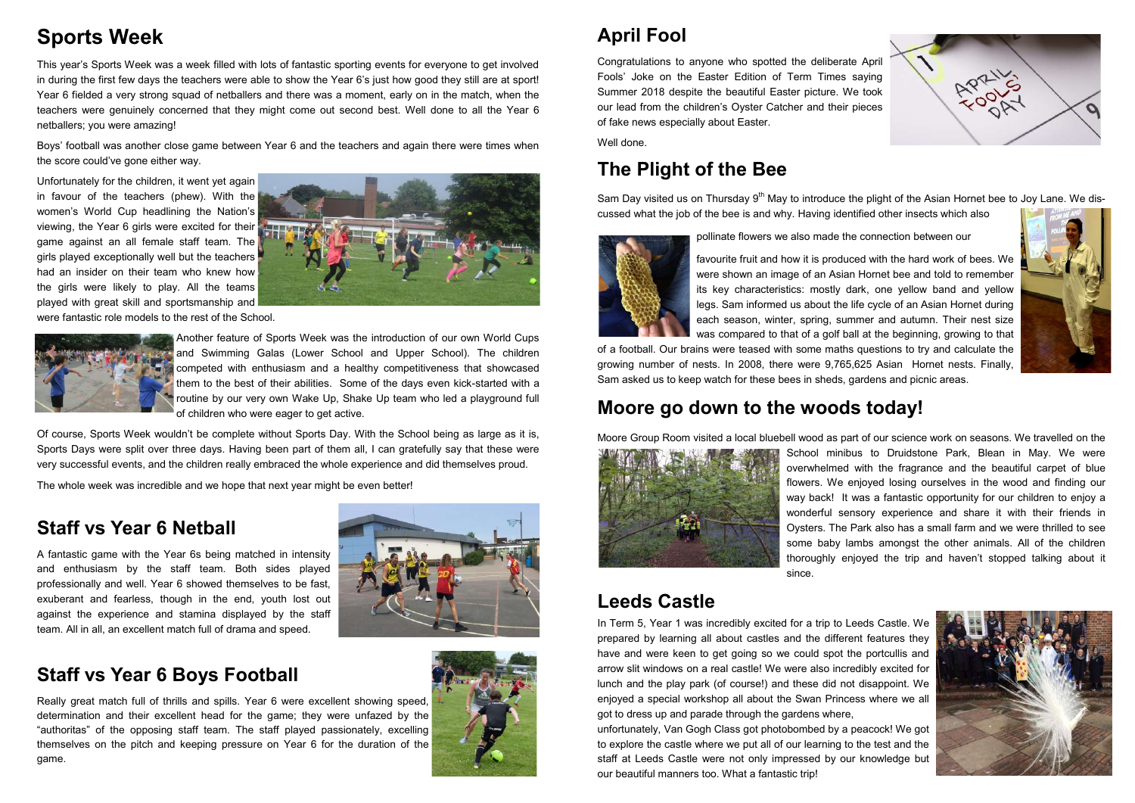## **April Fool**

Congratulations to anyone who spotted the deliberate April Fools' Joke on the Easter Edition of Term Times saying Summer 2018 despite the beautiful Easter picture. We took our lead from the children's Oyster Catcher and their pieces of fake news especially about Easter.

Sam Day visited us on Thursday 9<sup>th</sup> May to introduce the plight of the Asian Hornet bee to Joy Lane. We discussed what the job of the bee is and why. Having identified other insects which also

Well done.

### **The Plight of the Bee**

pollinate flowers we also made the connection between our



favourite fruit and how it is produced with the hard work of bees. We were shown an image of an Asian Hornet bee and told to remember its key characteristics: mostly dark, one yellow band and yellow legs. Sam informed us about the life cycle of an Asian Hornet during each season, winter, spring, summer and autumn. Their nest size was compared to that of a golf ball at the beginning, growing to that

of a football. Our brains were teased with some maths questions to try and calculate the growing number of nests. In 2008, there were 9,765,625 Asian Hornet nests. Finally, Sam asked us to keep watch for these bees in sheds, gardens and picnic areas.

#### **Moore go down to the woods today!**

Moore Group Room visited a local bluebell wood as part of our science work on seasons. We travelled on the School minibus to Druidstone Park, Blean in May. We were overwhelmed with the fragrance and the beautiful carpet of blue flowers. We enjoyed losing ourselves in the wood and finding our way back! It was a fantastic opportunity for our children to enjoy a wonderful sensory experience and share it with their friends in Oysters. The Park also has a small farm and we were thrilled to see some baby lambs amongst the other animals. All of the children thoroughly enjoyed the trip and haven't stopped talking about it



since.

#### **Leeds Castle**

In Term 5, Year 1 was incredibly excited for a trip to Leeds Castle. We prepared by learning all about castles and the different features they have and were keen to get going so we could spot the portcullis and arrow slit windows on a real castle! We were also incredibly excited for lunch and the play park (of course!) and these did not disappoint. We enjoyed a special workshop all about the Swan Princess where we all got to dress up and parade through the gardens where, unfortunately, Van Gogh Class got photobombed by a peacock! We got to explore the castle where we put all of our learning to the test and the staff at Leeds Castle were not only impressed by our knowledge but our beautiful manners too. What a fantastic trip!









## **Sports Week**

This year's Sports Week was a week filled with lots of fantastic sporting events for everyone to get involved in during the first few days the teachers were able to show the Year 6's just how good they still are at sport! Year 6 fielded a very strong squad of netballers and there was a moment, early on in the match, when the teachers were genuinely concerned that they might come out second best. Well done to all the Year 6 netballers; you were amazing!

Boys' football was another close game between Year 6 and the teachers and again there were times when the score could've gone either way.

Unfortunately for the children, it went yet again in favour of the teachers (phew). With the women's World Cup headlining the Nation's viewing, the Year 6 girls were excited for their game against an all female staff team. The girls played exceptionally well but the teachers had an insider on their team who knew how the girls were likely to play. All the teams played with great skill and sportsmanship and were fantastic role models to the rest of the School.





Another feature of Sports Week was the introduction of our own World Cups and Swimming Galas (Lower School and Upper School). The children competed with enthusiasm and a healthy competitiveness that showcased them to the best of their abilities. Some of the days even kick-started with a routine by our very own Wake Up, Shake Up team who led a playground full of children who were eager to get active.

Of course, Sports Week wouldn't be complete without Sports Day. With the School being as large as it is, Sports Days were split over three days. Having been part of them all, I can gratefully say that these were very successful events, and the children really embraced the whole experience and did themselves proud.

The whole week was incredible and we hope that next year might be even better!

#### **Staff vs Year 6 Netball**

A fantastic game with the Year 6s being matched in intensity and enthusiasm by the staff team. Both sides played professionally and well. Year 6 showed themselves to be fast, exuberant and fearless, though in the end, youth lost out against the experience and stamina displayed by the staff team. All in all, an excellent match full of drama and speed.



#### **Staff vs Year 6 Boys Football**

Really great match full of thrills and spills. Year 6 were excellent showing speed, determination and their excellent head for the game; they were unfazed by the "authoritas" of the opposing staff team. The staff played passionately, excelling themselves on the pitch and keeping pressure on Year 6 for the duration of the game.

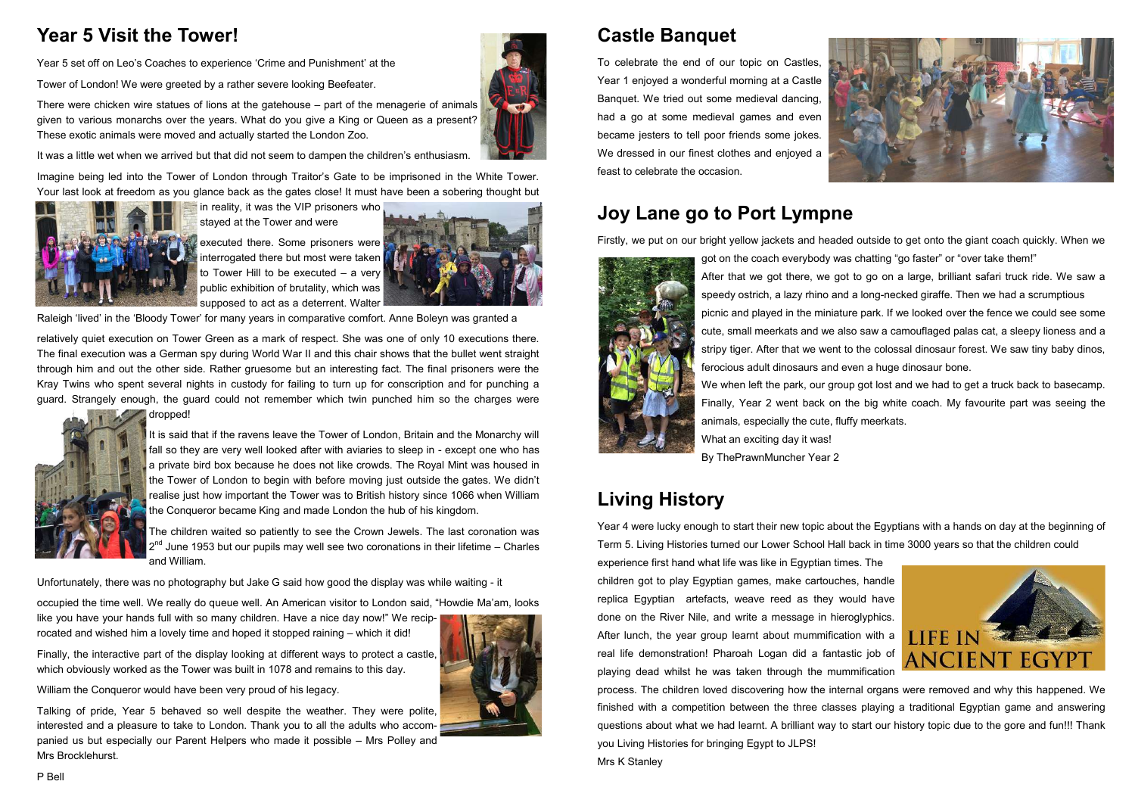## **Castle Banquet**

To celebrate the end of our topic on Castles, Year 1 enjoyed a wonderful morning at a Castle Banquet. We tried out some medieval dancing, had a go at some medieval games and even became jesters to tell poor friends some jokes. We dressed in our finest clothes and enjoyed a feast to celebrate the occasion.



Firstly, we put on our bright yellow jackets and headed outside to get onto the giant coach quickly. When we got on the coach everybody was chatting "go faster" or "over take them!"



After that we got there, we got to go on a large, brilliant safari truck ride. We saw a speedy ostrich, a lazy rhino and a long-necked giraffe. Then we had a scrumptious

picnic and played in the miniature park. If we looked over the fence we could see some cute, small meerkats and we also saw a camouflaged palas cat, a sleepy lioness and a stripy tiger. After that we went to the colossal dinosaur forest. We saw tiny baby dinos,

We when left the park, our group got lost and we had to get a truck back to basecamp. Finally, Year 2 went back on the big white coach. My favourite part was seeing the



ferocious adult dinosaurs and even a huge dinosaur bone. animals, especially the cute, fluffy meerkats. What an exciting day it was! By ThePrawnMuncher Year 2

## **Living History**

interrogated there but most were taken to Tower Hill to be executed – a very public exhibition of brutality, which was supposed to act as a deterrent. Walter



Raleigh 'lived' in the 'Bloody Tower' for many years in comparative comfort. Anne Boleyn was granted a

Year 4 were lucky enough to start their new topic about the Egyptians with a hands on day at the beginning of Term 5. Living Histories turned our Lower School Hall back in time 3000 years so that the children could experience first hand what life was like in Egyptian times. The children got to play Egyptian games, make cartouches, handle replica Egyptian artefacts, weave reed as they would have done on the River Nile, and write a message in hieroglyphics. After lunch, the year group learnt about mummification with a real life demonstration! Pharoah Logan did a fantastic job of playing dead whilst he was taken through the mummification process. The children loved discovering how the internal organs were removed and why this happened. We finished with a competition between the three classes playing a traditional Egyptian game and answering questions about what we had learnt. A brilliant way to start our history topic due to the gore and fun!!! Thank you Living Histories for bringing Egypt to JLPS! Mrs K Stanley

## **Year 5 Visit the Tower!**

Year 5 set off on Leo's Coaches to experience 'Crime and Punishment' at the

Tower of London! We were greeted by a rather severe looking Beefeater.

There were chicken wire statues of lions at the gatehouse – part of the menagerie of animals given to various monarchs over the years. What do you give a King or Queen as a present? These exotic animals were moved and actually started the London Zoo.

It was a little wet when we arrived but that did not seem to dampen the children's enthusiasm.

Imagine being led into the Tower of London through Traitor's Gate to be imprisoned in the White Tower. Your last look at freedom as you glance back as the gates close! It must have been a sobering thought but



in reality, it was the VIP prisoners who stayed at the Tower and were executed there. Some prisoners were

relatively quiet execution on Tower Green as a mark of respect. She was one of only 10 executions there. The final execution was a German spy during World War II and this chair shows that the bullet went straight through him and out the other side. Rather gruesome but an interesting fact. The final prisoners were the Kray Twins who spent several nights in custody for failing to turn up for conscription and for punching a guard. Strangely enough, the guard could not remember which twin punched him so the charges were dropped!



It is said that if the ravens leave the Tower of London, Britain and the Monarchy will fall so they are very well looked after with aviaries to sleep in - except one who has a private bird box because he does not like crowds. The Royal Mint was housed in the Tower of London to begin with before moving just outside the gates. We didn't realise just how important the Tower was to British history since 1066 when William the Conqueror became King and made London the hub of his kingdom.

The children waited so patiently to see the Crown Jewels. The last coronation was  $2^{nd}$  June 1953 but our pupils may well see two coronations in their lifetime – Charles and William.

Unfortunately, there was no photography but Jake G said how good the display was while waiting - it

occupied the time well. We really do queue well. An American visitor to London said, "Howdie Ma'am, looks like you have your hands full with so many children. Have a nice day now!" We recip-

rocated and wished him a lovely time and hoped it stopped raining – which it did!

Finally, the interactive part of the display looking at different ways to protect a castle, which obviously worked as the Tower was built in 1078 and remains to this day.

William the Conqueror would have been very proud of his legacy.

Talking of pride, Year 5 behaved so well despite the weather. They were polite, interested and a pleasure to take to London. Thank you to all the adults who accompanied us but especially our Parent Helpers who made it possible – Mrs Polley and Mrs Brocklehurst.



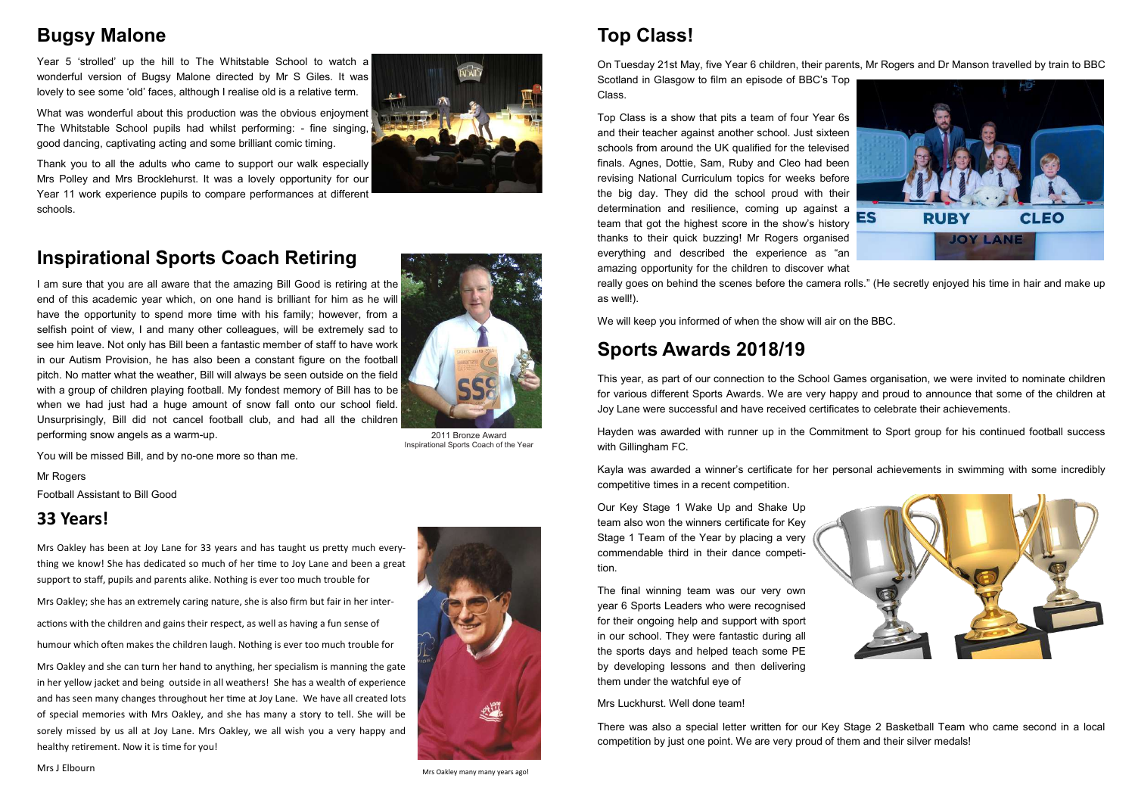## **Top Class!**

On Tuesday 21st May, five Year 6 children, their parents, Mr Rogers and Dr Manson travelled by train to BBC Scotland in Glasgow to film an episode of BBC's Top Class.

Top Class is a show that pits a team of four Year 6s and their teacher against another school. Just sixteen schools from around the UK qualified for the televised finals. Agnes, Dottie, Sam, Ruby and Cleo had been revising National Curriculum topics for weeks before the big day. They did the school proud with their determination and resilience, coming up against a ES **RUBY CLEO** team that got the highest score in the show's history thanks to their quick buzzing! Mr Rogers organised **JOY LANE** everything and described the experience as "an amazing opportunity for the children to discover what really goes on behind the scenes before the camera rolls." (He secretly enjoyed his time in hair and make up as well!).

We will keep you informed of when the show will air on the BBC.

## **Sports Awards 2018/19**

This year, as part of our connection to the School Games organisation, we were invited to nominate children for various different Sports Awards. We are very happy and proud to announce that some of the children at Joy Lane were successful and have received certificates to celebrate their achievements.

Hayden was awarded with runner up in the Commitment to Sport group for his continued football success with Gillingham FC.

Kayla was awarded a winner's certificate for her personal achievements in swimming with some incredibly competitive times in a recent competition.

Our Key Stage 1 Wake Up and Shake Up team also won the winners certificate for Key Stage 1 Team of the Year by placing a very commendable third in their dance competition.



The final winning team was our very own year 6 Sports Leaders who were recognised for their ongoing help and support with sport in our school. They were fantastic during all the sports days and helped teach some PE by developing lessons and then delivering them under the watchful eye of

Mrs Luckhurst. Well done team!

There was also a special letter written for our Key Stage 2 Basketball Team who came second in a local competition by just one point. We are very proud of them and their silver medals!

### **Bugsy Malone**

Year 5 'strolled' up the hill to The Whitstable School to watch a wonderful version of Bugsy Malone directed by Mr S Giles. It was lovely to see some 'old' faces, although I realise old is a relative term.

What was wonderful about this production was the obvious enjoyment The Whitstable School pupils had whilst performing: - fine singing, good dancing, captivating acting and some brilliant comic timing.

Thank you to all the adults who came to support our walk especially Mrs Polley and Mrs Brocklehurst. It was a lovely opportunity for our Year 11 work experience pupils to compare performances at different schools.

### **Inspirational Sports Coach Retiring**

I am sure that you are all aware that the amazing Bill Good is retiring at the end of this academic year which, on one hand is brilliant for him as he will have the opportunity to spend more time with his family; however, from a selfish point of view, I and many other colleagues, will be extremely sad to see him leave. Not only has Bill been a fantastic member of staff to have work in our Autism Provision, he has also been a constant figure on the football pitch. No matter what the weather, Bill will always be seen outside on the field with a group of children playing football. My fondest memory of Bill has to be when we had just had a huge amount of snow fall onto our school field. Unsurprisingly, Bill did not cancel football club, and had all the children performing snow angels as a warm-up.

You will be missed Bill, and by no-one more so than me.

Mr Rogers

Football Assistant to Bill Good

#### **33 Years!**

Mrs Oakley has been at Joy Lane for 33 years and has taught us pretty much everything we know! She has dedicated so much of her time to Joy Lane and been a great support to staff, pupils and parents alike. Nothing is ever too much trouble for

Mrs Oakley; she has an extremely caring nature, she is also firm but fair in her inter-

actions with the children and gains their respect, as well as having a fun sense of humour which often makes the children laugh. Nothing is ever too much trouble for

Mrs Oakley and she can turn her hand to anything, her specialism is manning the gate in her yellow jacket and being outside in all weathers! She has a wealth of experience and has seen many changes throughout her time at Joy Lane. We have all created lots of special memories with Mrs Oakley, and she has many a story to tell. She will be sorely missed by us all at Joy Lane. Mrs Oakley, we all wish you a very happy and healthy retirement. Now it is time for you!



Mrs J Elbourn



2011 Bronze Award Inspirational Sports Coach of the Year

Mrs Oakley many many years ago!